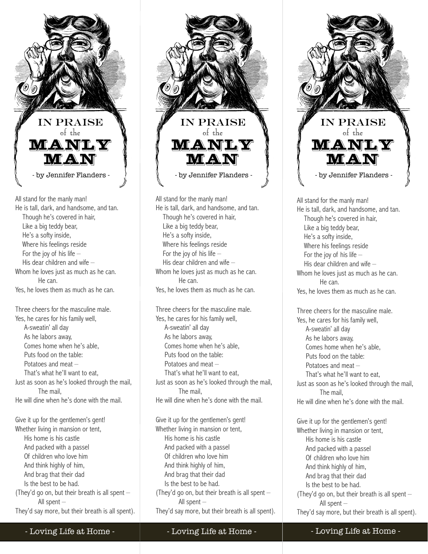

All stand for the manly man! He is tall, dark, and handsome, and tan. Though he's covered in hair, Like a big teddy bear, He's a softy inside, Where his feelings reside For the joy of his life – His dear children and wife – Whom he loves just as much as he can. He can. Yes, he loves them as much as he can.

Three cheers for the masculine male. Yes, he cares for his family well, A-sweatin' all day As he labors away, Comes home when he's able, Puts food on the table: Potatoes and meat – That's what he'll want to eat, Just as soon as he's looked through the mail, The mail, He will dine when he's done with the mail.

Give it up for the gentlemen's gent! Whether living in mansion or tent, His home is his castle And packed with a passel Of children who love him And think highly of him, And brag that their dad Is the best to be had. (They'd go on, but their breath is all spent  $-$  All spent – They'd say more, but their breath is all spent).



All stand for the manly man! He is tall, dark, and handsome, and tan. Though he's covered in hair, Like a big teddy bear, He's a softy inside, Where his feelings reside For the joy of his life – His dear children and wife – Whom he loves just as much as he can. He can. Yes, he loves them as much as he can.

Three cheers for the masculine male. Yes, he cares for his family well, A-sweatin' all day As he labors away, Comes home when he's able, Puts food on the table: Potatoes and meat – That's what he'll want to eat, Just as soon as he's looked through the mail, The mail, He will dine when he's done with the mail.

Give it up for the gentlemen's gent! Whether living in mansion or tent, His home is his castle And packed with a passel Of children who love him And think highly of him, And brag that their dad Is the best to be had. (They'd go on, but their breath is all spent – All spent – They'd say more, but their breath is all spent).



All stand for the manly man! He is tall, dark, and handsome, and tan. Though he's covered in hair, Like a big teddy bear, He's a softy inside, Where his feelings reside For the joy of his life  $-$  His dear children and wife – Whom he loves just as much as he can. He can. Yes, he loves them as much as he can.

Three cheers for the masculine male. Yes, he cares for his family well, A-sweatin' all day As he labors away, Comes home when he's able, Puts food on the table: Potatoes and meat – That's what he'll want to eat, Just as soon as he's looked through the mail, The mail, He will dine when he's done with the mail. Give it up for the gentlemen's gent! Whether living in mansion or tent,

 His home is his castle And packed with a passel Of children who love him And think highly of him, And brag that their dad Is the best to be had. (They'd go on, but their breath is all spent – All spent –

They'd say more, but their breath is all spent).

- Loving Life at Home -